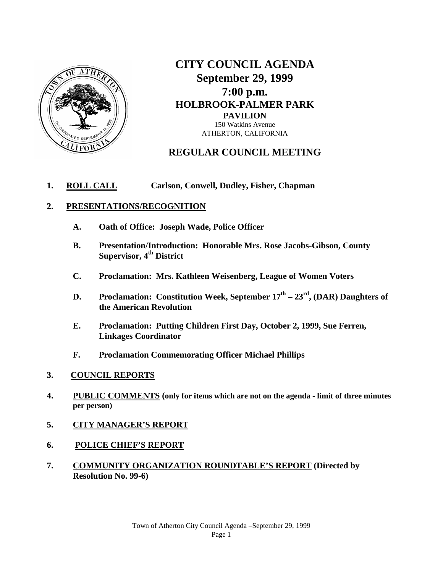

**CITY COUNCIL AGENDA September 29, 1999 7:00 p.m. HOLBROOK-PALMER PARK PAVILION**  150 Watkins Avenue ATHERTON, CALIFORNIA

# **REGULAR COUNCIL MEETING**

## **1. ROLL CALL Carlson, Conwell, Dudley, Fisher, Chapman**

## **2. PRESENTATIONS/RECOGNITION**

- **A. Oath of Office: Joseph Wade, Police Officer**
- **B. Presentation/Introduction: Honorable Mrs. Rose Jacobs-Gibson, County Supervisor, 4<sup>th</sup> District**
- **C. Proclamation: Mrs. Kathleen Weisenberg, League of Women Voters**
- **D. Proclamation: Constitution Week, September 17th – 23rd, (DAR) Daughters of the American Revolution**
- **E. Proclamation: Putting Children First Day, October 2, 1999, Sue Ferren, Linkages Coordinator**
- **F. Proclamation Commemorating Officer Michael Phillips**
- **3. COUNCIL REPORTS**
- **4. PUBLIC COMMENTS (only for items which are not on the agenda - limit of three minutes per person)**
- **5. CITY MANAGER'S REPORT**
- **6. POLICE CHIEF'S REPORT**
- **7. COMMUNITY ORGANIZATION ROUNDTABLE'S REPORT (Directed by Resolution No. 99-6)**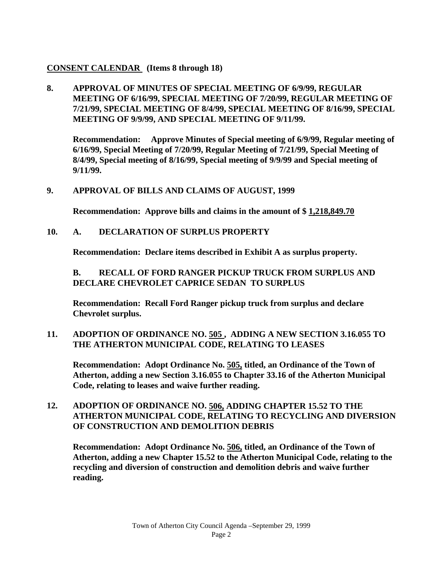# **CONSENT CALENDAR (Items 8 through 18)**

**8. APPROVAL OF MINUTES OF SPECIAL MEETING OF 6/9/99, REGULAR MEETING OF 6/16/99, SPECIAL MEETING OF 7/20/99, REGULAR MEETING OF 7/21/99, SPECIAL MEETING OF 8/4/99, SPECIAL MEETING OF 8/16/99, SPECIAL MEETING OF 9/9/99, AND SPECIAL MEETING OF 9/11/99.**

**Recommendation: Approve Minutes of Special meeting of 6/9/99, Regular meeting of 6/16/99, Special Meeting of 7/20/99, Regular Meeting of 7/21/99, Special Meeting of 8/4/99, Special meeting of 8/16/99, Special meeting of 9/9/99 and Special meeting of 9/11/99.**

# **9. APPROVAL OF BILLS AND CLAIMS OF AUGUST, 1999**

**Recommendation: Approve bills and claims in the amount of \$ 1,218,849.70**

**10. A. DECLARATION OF SURPLUS PROPERTY**

**Recommendation: Declare items described in Exhibit A as surplus property.**

**B. RECALL OF FORD RANGER PICKUP TRUCK FROM SURPLUS AND DECLARE CHEVROLET CAPRICE SEDAN TO SURPLUS**

**Recommendation: Recall Ford Ranger pickup truck from surplus and declare Chevrolet surplus.**

**11. ADOPTION OF ORDINANCE NO. 505 , ADDING A NEW SECTION 3.16.055 TO THE ATHERTON MUNICIPAL CODE, RELATING TO LEASES**

**Recommendation: Adopt Ordinance No. 505, titled, an Ordinance of the Town of Atherton, adding a new Section 3.16.055 to Chapter 33.16 of the Atherton Municipal Code, relating to leases and waive further reading.** 

**12. ADOPTION OF ORDINANCE NO. 506, ADDING CHAPTER 15.52 TO THE ATHERTON MUNICIPAL CODE, RELATING TO RECYCLING AND DIVERSION OF CONSTRUCTION AND DEMOLITION DEBRIS**

**Recommendation: Adopt Ordinance No. 506, titled, an Ordinance of the Town of Atherton, adding a new Chapter 15.52 to the Atherton Municipal Code, relating to the recycling and diversion of construction and demolition debris and waive further reading.**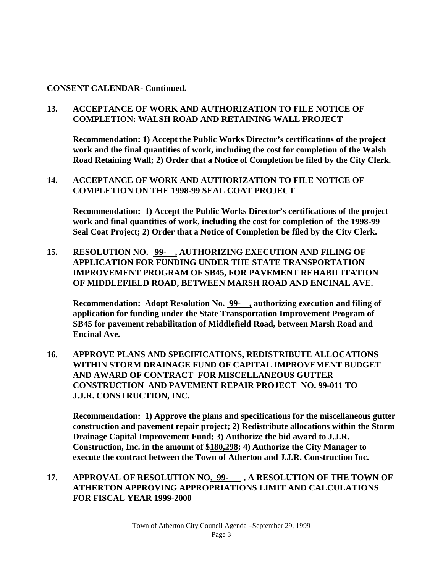## **CONSENT CALENDAR- Continued.**

# **13. ACCEPTANCE OF WORK AND AUTHORIZATION TO FILE NOTICE OF COMPLETION: WALSH ROAD AND RETAINING WALL PROJECT**

**Recommendation: 1) Accept the Public Works Director's certifications of the project work and the final quantities of work, including the cost for completion of the Walsh Road Retaining Wall; 2) Order that a Notice of Completion be filed by the City Clerk.**

# **14. ACCEPTANCE OF WORK AND AUTHORIZATION TO FILE NOTICE OF COMPLETION ON THE 1998-99 SEAL COAT PROJECT**

**Recommendation: 1) Accept the Public Works Director's certifications of the project work and final quantities of work, including the cost for completion of the 1998-99 Seal Coat Project; 2) Order that a Notice of Completion be filed by the City Clerk.**

**15. RESOLUTION NO. 99- , AUTHORIZING EXECUTION AND FILING OF APPLICATION FOR FUNDING UNDER THE STATE TRANSPORTATION IMPROVEMENT PROGRAM OF SB45, FOR PAVEMENT REHABILITATION OF MIDDLEFIELD ROAD, BETWEEN MARSH ROAD AND ENCINAL AVE.** 

**Recommendation: Adopt Resolution No. 99- , authorizing execution and filing of application for funding under the State Transportation Improvement Program of SB45 for pavement rehabilitation of Middlefield Road, between Marsh Road and Encinal Ave.**

**16. APPROVE PLANS AND SPECIFICATIONS, REDISTRIBUTE ALLOCATIONS WITHIN STORM DRAINAGE FUND OF CAPITAL IMPROVEMENT BUDGET AND AWARD OF CONTRACT FOR MISCELLANEOUS GUTTER CONSTRUCTION AND PAVEMENT REPAIR PROJECT NO. 99-011 TO J.J.R. CONSTRUCTION, INC.**

**Recommendation: 1) Approve the plans and specifications for the miscellaneous gutter construction and pavement repair project; 2) Redistribute allocations within the Storm Drainage Capital Improvement Fund; 3) Authorize the bid award to J.J.R. Construction, Inc. in the amount of \$180,298; 4) Authorize the City Manager to execute the contract between the Town of Atherton and J.J.R. Construction Inc.** 

**17. APPROVAL OF RESOLUTION NO. 99- , A RESOLUTION OF THE TOWN OF ATHERTON APPROVING APPROPRIATIONS LIMIT AND CALCULATIONS FOR FISCAL YEAR 1999-2000**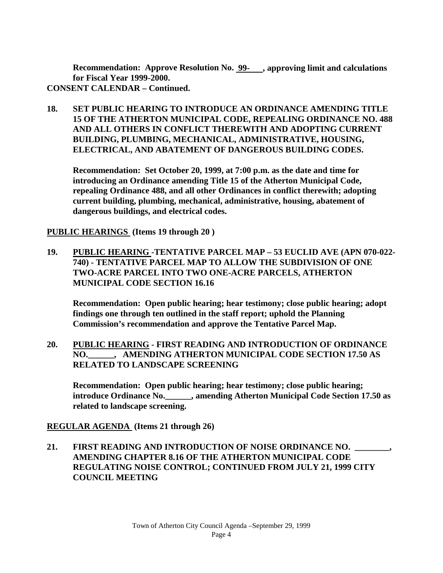**Recommendation: Approve Resolution No. 99- , approving limit and calculations for Fiscal Year 1999-2000. CONSENT CALENDAR – Continued.**

**18. SET PUBLIC HEARING TO INTRODUCE AN ORDINANCE AMENDING TITLE 15 OF THE ATHERTON MUNICIPAL CODE, REPEALING ORDINANCE NO. 488 AND ALL OTHERS IN CONFLICT THEREWITH AND ADOPTING CURRENT BUILDING, PLUMBING, MECHANICAL, ADMINISTRATIVE, HOUSING, ELECTRICAL, AND ABATEMENT OF DANGEROUS BUILDING CODES.**

**Recommendation: Set October 20, 1999, at 7:00 p.m. as the date and time for introducing an Ordinance amending Title 15 of the Atherton Municipal Code, repealing Ordinance 488, and all other Ordinances in conflict therewith; adopting current building, plumbing, mechanical, administrative, housing, abatement of dangerous buildings, and electrical codes.** 

**PUBLIC HEARINGS (Items 19 through 20 )**

**19. PUBLIC HEARING -TENTATIVE PARCEL MAP – 53 EUCLID AVE (APN 070-022- 740) - TENTATIVE PARCEL MAP TO ALLOW THE SUBDIVISION OF ONE TWO-ACRE PARCEL INTO TWO ONE-ACRE PARCELS, ATHERTON MUNICIPAL CODE SECTION 16.16**

**Recommendation: Open public hearing; hear testimony; close public hearing; adopt findings one through ten outlined in the staff report; uphold the Planning Commission's recommendation and approve the Tentative Parcel Map.**

**20. PUBLIC HEARING - FIRST READING AND INTRODUCTION OF ORDINANCE NO.\_\_\_\_\_\_, AMENDING ATHERTON MUNICIPAL CODE SECTION 17.50 AS RELATED TO LANDSCAPE SCREENING**

**Recommendation: Open public hearing; hear testimony; close public hearing; introduce Ordinance No.\_\_\_\_\_\_, amending Atherton Municipal Code Section 17.50 as related to landscape screening.**

**REGULAR AGENDA (Items 21 through 26)**

**21. FIRST READING AND INTRODUCTION OF NOISE ORDINANCE NO. \_\_\_\_\_\_\_\_, AMENDING CHAPTER 8.16 OF THE ATHERTON MUNICIPAL CODE REGULATING NOISE CONTROL; CONTINUED FROM JULY 21, 1999 CITY COUNCIL MEETING**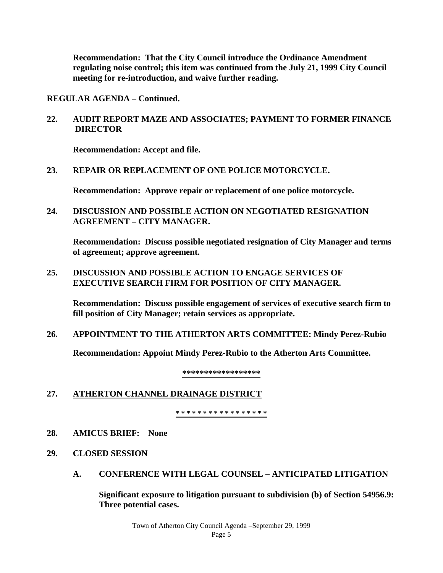**Recommendation: That the City Council introduce the Ordinance Amendment regulating noise control; this item was continued from the July 21, 1999 City Council meeting for re-introduction, and waive further reading.** 

**REGULAR AGENDA – Continued.**

**22. AUDIT REPORT MAZE AND ASSOCIATES; PAYMENT TO FORMER FINANCE DIRECTOR**

**Recommendation: Accept and file.**

## **23. REPAIR OR REPLACEMENT OF ONE POLICE MOTORCYCLE.**

**Recommendation: Approve repair or replacement of one police motorcycle.**

**24. DISCUSSION AND POSSIBLE ACTION ON NEGOTIATED RESIGNATION AGREEMENT – CITY MANAGER.**

**Recommendation: Discuss possible negotiated resignation of City Manager and terms of agreement; approve agreement.**

**25. DISCUSSION AND POSSIBLE ACTION TO ENGAGE SERVICES OF EXECUTIVE SEARCH FIRM FOR POSITION OF CITY MANAGER.**

**Recommendation: Discuss possible engagement of services of executive search firm to fill position of City Manager; retain services as appropriate.**

**26. APPOINTMENT TO THE ATHERTON ARTS COMMITTEE: Mindy Perez-Rubio**

**Recommendation: Appoint Mindy Perez-Rubio to the Atherton Arts Committee.**

**\*\*\*\*\*\*\*\*\*\*\*\*\*\*\*\*\*\***

# **27. ATHERTON CHANNEL DRAINAGE DISTRICT**

**\* \* \* \* \* \* \* \* \* \* \* \* \* \* \* \* \*** 

- **28. AMICUS BRIEF: None**
- **29. CLOSED SESSION**
	- **A. CONFERENCE WITH LEGAL COUNSEL – ANTICIPATED LITIGATION**

**Significant exposure to litigation pursuant to subdivision (b) of Section 54956.9: Three potential cases.**